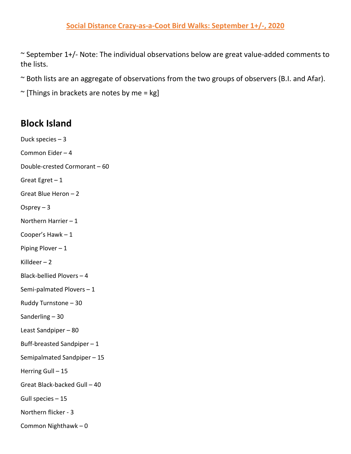~ September 1+/- Note: The individual observations below are great value-added comments to the lists.

~ Both lists are an aggregate of observations from the two groups of observers (B.I. and Afar).

 $\sim$  [Things in brackets are notes by me = kg]

## **Block Island**

Duck species – 3 Common Eider – 4 Double-crested Cormorant – 60 Great Egret  $-1$ Great Blue Heron – 2 Osprey  $-3$ Northern Harrier – 1 Cooper's Hawk – 1 Piping Plover – 1 Killdeer – 2 Black-bellied Plovers – 4 Semi-palmated Plovers – 1 Ruddy Turnstone – 30 Sanderling – 30 Least Sandpiper – 80 Buff-breasted Sandpiper – 1 Semipalmated Sandpiper – 15 Herring Gull – 15 Great Black-backed Gull – 40 Gull species – 15 Northern flicker - 3 Common Nighthawk – 0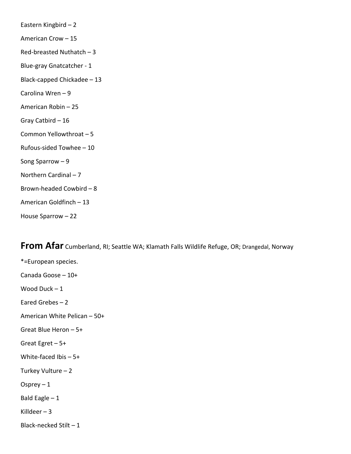| Eastern Kingbird - 2        |
|-----------------------------|
| American Crow - 15          |
| Red-breasted Nuthatch - 3   |
| Blue-gray Gnatcatcher - 1   |
| Black-capped Chickadee - 13 |
| Carolina Wren-9             |
| American Robin - 25         |
| Gray Catbird - 16           |
| Common Yellowthroat - 5     |
| Rufous-sided Towhee - 10    |
| Song Sparrow $-9$           |
| Northern Cardinal - 7       |
| Brown-headed Cowbird-8      |
| American Goldfinch - 13     |
| House Sparrow - 22          |

**From Afar** Cumberland, RI; Seattle WA; Klamath Falls Wildlife Refuge, OR; Drangedal, Norway

\*=European species. Canada Goose – 10+ Wood Duck – 1 Eared Grebes – 2 American White Pelican – 50+ Great Blue Heron – 5+ Great Egret – 5+ White-faced Ibis – 5+ Turkey Vulture – 2 Osprey  $-1$ Bald Eagle – 1 Killdeer  $-3$ Black-necked Stilt – 1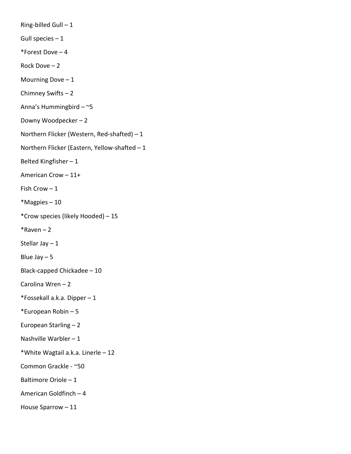Ring-billed Gull  $-1$ Gull species  $-1$ \*Forest Dove – 4 Rock Dove – 2 Mourning Dove  $-1$ Chimney Swifts – 2 Anna's Hummingbird – ~5 Downy Woodpecker – 2 Northern Flicker (Western, Red-shafted) – 1 Northern Flicker (Eastern, Yellow-shafted – 1 Belted Kingfisher – 1 American Crow – 11+ Fish Crow – 1 \*Magpies – 10 \*Crow species (likely Hooded) – 15  $*$ Raven – 2 Stellar Jay – 1 Blue Jay  $-5$ Black-capped Chickadee – 10 Carolina Wren – 2 \*Fossekall a.k.a. Dipper – 1 \*European Robin – 5 European Starling – 2 Nashville Warbler – 1 \*White Wagtail a.k.a. Linerle – 12 Common Grackle - ~50 Baltimore Oriole – 1 American Goldfinch – 4 House Sparrow – 11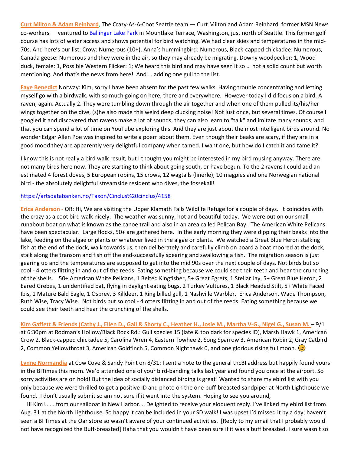**Curt Milton & Adam Reinhard**, The Crazy-As-A-Coot Seattle team — Curt Milton and Adam Reinhard, former MSN News co-workers — ventured to [Ballinger Lake Park](https://protect-us.mimecast.com/s/m0vYCBBXvgIZQ18rfz_4IM?domain=cityofmlt.com) in Mountlake Terrace, Washington, just north of Seattle. This former golf course has lots of water access and shows potential for bird watching. We had clear skies and temperatures in the mid-70s. And here's our list: Crow: Numerous (10+), Anna's hummingbird: Numerous, Black-capped chickadee: Numerous, Canada geese: Numerous and they were in the air, so they may already be migrating, Downy woodpecker: 1, Wood duck, female: 1, Possible Western Flicker: 1; We heard this bird and may have seen it so … not a solid count but worth mentioning. And that's the news from here! And … adding one gull to the list.

**Faye Benedict** Norway: Kim, sorry I have been absent for the past few walks. Having trouble concentrating and letting myself go with a birdwalk, with so much going on here, there and everywhere. However today I did focus on a bird. A raven, again. Actually 2. They were tumbling down through the air together and when one of them pulled its/his/her wings together on the dive, (s)he also made this weird deep clucking noise! Not just once, but several times. Of course I googled it and discovered that ravens make a lot of sounds, they can also learn to "talk" and imitate many sounds, and that you can spend a lot of time on YouTube exploring this. And they are just about the most intelligent birds around. No wonder Edgar Allen Poe was inspired to write a poem about them. Even though their beaks are scary, if they are in a good mood they are apparently very delightful company when tamed. I want one, but how do I catch it and tame it?

I know this is not really a bird walk result, but I thought you might be interested in my bird musing anyway. There are not many birds here now. They are starting to think about going south, or have begun. To the 2 ravens I could add an estimated 4 forest doves, 5 European robins, 15 crows, 12 wagtails (linerle), 10 magpies and one Norwegian national bird - the absolutely delightful streamside resident who dives, the fossekall!

## <https://artsdatabanken.no/Taxon/Cinclus%20cinclus/4158>

**Erica Anderson** - OR: Hi, We are visiting the Upper Klamath Falls Wildlife Refuge for a couple of days. It coincides with the crazy as a coot bird walk nicely. The weather was sunny, hot and beautiful today. We were out on our small runabout boat on what is known as the canoe trail and also in an area called Pelican Bay. The American White Pelicans have been spectacular. Large flocks, 50+ are gathered here. In the early morning they were dipping their beaks into the lake, feeding on the algae or plants or whatever lived in the algae or plants. We watched a Great Blue Heron stalking fish at the end of the dock, walk towards us, then deliberately and carefully climb on board a boat moored at the dock, stalk along the transom and fish off the end-successfully spearing and swallowing a fish. The migration season is just gearing up and the temperatures are supposed to get into the mid 90s over the next couple of days. Not birds but so cool - 4 otters flitting in and out of the reeds. Eating something because we could see their teeth and hear the crunching of the shells. 50+ American White Pelicans, 1 Belted Kingfisher, 5+ Great Egrets, 1 Stellar Jay, 5+ Great Blue Heron, 2 Eared Grebes, 1 unidentified bat, flying in daylight eating bugs, 2 Turkey Vultures, 1 Black Headed Stilt, 5+ White Faced Ibis, 1 Mature Bald Eagle, 1 Osprey, 3 Killdeer, 1 Ring billed gull, 1 Nashville Warbler. Erica Anderson, Wade Thompson, Ruth Wise, Tracy Wise. Not birds but so cool - 4 otters flitting in and out of the reeds. Eating something because we could see their teeth and hear the crunching of the shells.

**Kim Gaffett & Friends (Cathy J., Ellen D., Gail & Shorty C., Heather H., Josie M., Martha V-G., Nigel G., Susan M.** – 9/1 at 6:30pm at Rodman's Hollow/Black Rock Rd.: Gull species 15 (late & too dark for species ID), Marsh Hawk 1, American Crow 2, Black-capped chickadee 5, Carolina Wren 4, Eastern Towhee 2, Song Sparrow 3, American Robin 2, Gray Catbird 2, Common Yellowthroat 3, American Goldfinch 5, Common Nighthawk 0, and one glorious rising full moon.  $\circledcirc$ 

**Lynne Normandia** at Cow Cove & Sandy Point on 8/31: I sent a note to the general tncBI address but happily found yours in the BITimes this morn. We'd attended one of your bird-banding talks last year and found you once at the airport. So sorry activities are on hold! But the idea of socially distanced birding is great! Wanted to share my ebird list with you only because we were thrilled to get a positive ID and photo on the one buff-breasted sandpiper at North Lighthouse we found. I don't usually submit so am not sure if it went into the system. Hoping to see you around,

 Hi Kim!...... from our sailboat in New Harbor…. Delighted to receive your eloquent reply. I've linked my ebird list from Aug. 31 at the North Lighthouse. So happy it can be included in your SD walk! I was upset I'd missed it by a day; haven't seen a BI Times at the Oar store so wasn't aware of your continued activities. [Reply to my email that I probably would not have recognized the Buff-breasted] Haha that you wouldn't have been sure if it was a buff breasted. I sure wasn't so